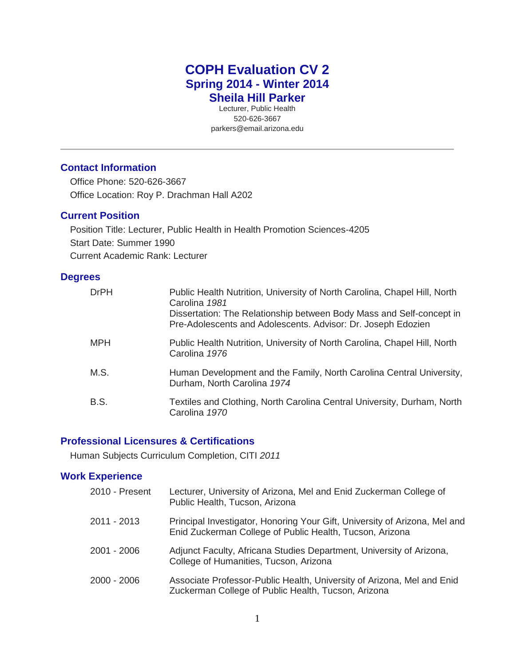# **COPH Evaluation CV 2 Spring 2014 - Winter 2014 Sheila Hill Parker**

Lecturer, Public Health 520-626-3667 parkers@email.arizona.edu

# **Contact Information**

Office Phone: 520-626-3667 Office Location: Roy P. Drachman Hall A202

# **Current Position**

Position Title: Lecturer, Public Health in Health Promotion Sciences-4205 Start Date: Summer 1990 Current Academic Rank: Lecturer

# **Degrees**

| <b>DrPH</b> | Public Health Nutrition, University of North Carolina, Chapel Hill, North<br>Carolina 1981<br>Dissertation: The Relationship between Body Mass and Self-concept in<br>Pre-Adolescents and Adolescents. Advisor: Dr. Joseph Edozien |
|-------------|------------------------------------------------------------------------------------------------------------------------------------------------------------------------------------------------------------------------------------|
| <b>MPH</b>  | Public Health Nutrition, University of North Carolina, Chapel Hill, North<br>Carolina 1976                                                                                                                                         |
| M.S.        | Human Development and the Family, North Carolina Central University,<br>Durham, North Carolina 1974                                                                                                                                |
| B.S.        | Textiles and Clothing, North Carolina Central University, Durham, North<br>Carolina 1970                                                                                                                                           |

# **Professional Licensures & Certifications**

Human Subjects Curriculum Completion, CITI *2011*

# **Work Experience**

| 2010 - Present | Lecturer, University of Arizona, Mel and Enid Zuckerman College of<br>Public Health, Tucson, Arizona                                   |
|----------------|----------------------------------------------------------------------------------------------------------------------------------------|
| 2011 - 2013    | Principal Investigator, Honoring Your Gift, University of Arizona, Mel and<br>Enid Zuckerman College of Public Health, Tucson, Arizona |
| 2001 - 2006    | Adjunct Faculty, Africana Studies Department, University of Arizona,<br>College of Humanities, Tucson, Arizona                         |
| 2000 - 2006    | Associate Professor-Public Health, University of Arizona, Mel and Enid<br>Zuckerman College of Public Health, Tucson, Arizona          |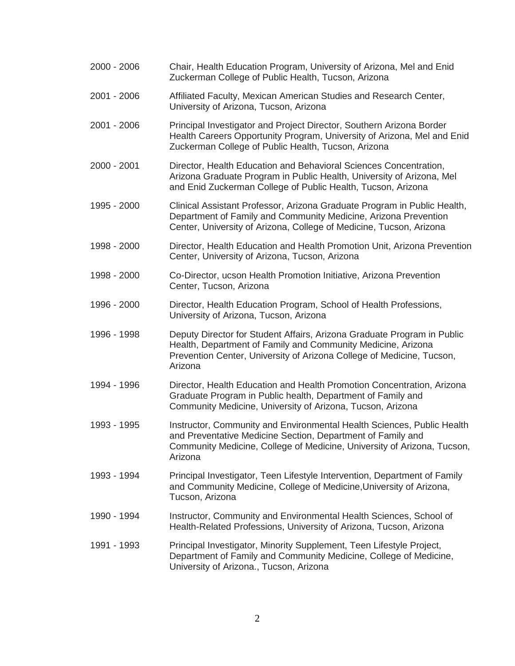| 2000 - 2006 | Chair, Health Education Program, University of Arizona, Mel and Enid<br>Zuckerman College of Public Health, Tucson, Arizona                                                                                                 |
|-------------|-----------------------------------------------------------------------------------------------------------------------------------------------------------------------------------------------------------------------------|
| 2001 - 2006 | Affiliated Faculty, Mexican American Studies and Research Center,<br>University of Arizona, Tucson, Arizona                                                                                                                 |
| 2001 - 2006 | Principal Investigator and Project Director, Southern Arizona Border<br>Health Careers Opportunity Program, University of Arizona, Mel and Enid<br>Zuckerman College of Public Health, Tucson, Arizona                      |
| 2000 - 2001 | Director, Health Education and Behavioral Sciences Concentration,<br>Arizona Graduate Program in Public Health, University of Arizona, Mel<br>and Enid Zuckerman College of Public Health, Tucson, Arizona                  |
| 1995 - 2000 | Clinical Assistant Professor, Arizona Graduate Program in Public Health,<br>Department of Family and Community Medicine, Arizona Prevention<br>Center, University of Arizona, College of Medicine, Tucson, Arizona          |
| 1998 - 2000 | Director, Health Education and Health Promotion Unit, Arizona Prevention<br>Center, University of Arizona, Tucson, Arizona                                                                                                  |
| 1998 - 2000 | Co-Director, ucson Health Promotion Initiative, Arizona Prevention<br>Center, Tucson, Arizona                                                                                                                               |
| 1996 - 2000 | Director, Health Education Program, School of Health Professions,<br>University of Arizona, Tucson, Arizona                                                                                                                 |
| 1996 - 1998 | Deputy Director for Student Affairs, Arizona Graduate Program in Public<br>Health, Department of Family and Community Medicine, Arizona<br>Prevention Center, University of Arizona College of Medicine, Tucson,<br>Arizona |
| 1994 - 1996 | Director, Health Education and Health Promotion Concentration, Arizona<br>Graduate Program in Public health, Department of Family and<br>Community Medicine, University of Arizona, Tucson, Arizona                         |
| 1993 - 1995 | Instructor, Community and Environmental Health Sciences, Public Health<br>and Preventative Medicine Section, Department of Family and<br>Community Medicine, College of Medicine, University of Arizona, Tucson,<br>Arizona |
| 1993 - 1994 | Principal Investigator, Teen Lifestyle Intervention, Department of Family<br>and Community Medicine, College of Medicine, University of Arizona,<br>Tucson, Arizona                                                         |
| 1990 - 1994 | Instructor, Community and Environmental Health Sciences, School of<br>Health-Related Professions, University of Arizona, Tucson, Arizona                                                                                    |
| 1991 - 1993 | Principal Investigator, Minority Supplement, Teen Lifestyle Project,<br>Department of Family and Community Medicine, College of Medicine,<br>University of Arizona., Tucson, Arizona                                        |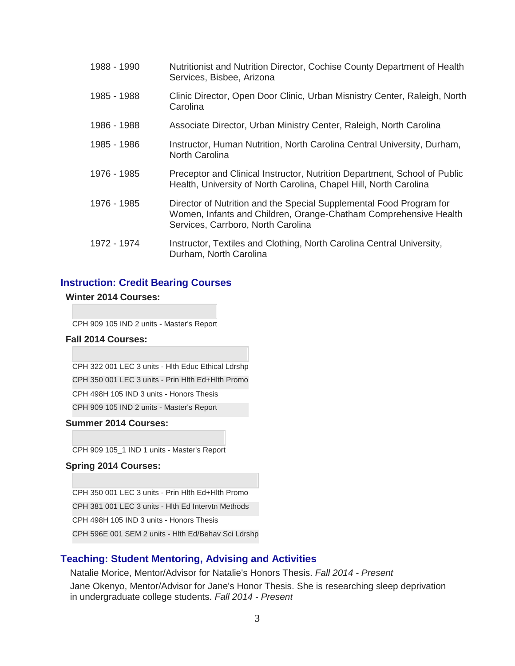| 1988 - 1990 | Nutritionist and Nutrition Director, Cochise County Department of Health<br>Services, Bisbee, Arizona                                                                         |
|-------------|-------------------------------------------------------------------------------------------------------------------------------------------------------------------------------|
| 1985 - 1988 | Clinic Director, Open Door Clinic, Urban Misnistry Center, Raleigh, North<br>Carolina                                                                                         |
| 1986 - 1988 | Associate Director, Urban Ministry Center, Raleigh, North Carolina                                                                                                            |
| 1985 - 1986 | Instructor, Human Nutrition, North Carolina Central University, Durham,<br><b>North Carolina</b>                                                                              |
| 1976 - 1985 | Preceptor and Clinical Instructor, Nutrition Department, School of Public<br>Health, University of North Carolina, Chapel Hill, North Carolina                                |
| 1976 - 1985 | Director of Nutrition and the Special Supplemental Food Program for<br>Women, Infants and Children, Orange-Chatham Comprehensive Health<br>Services, Carrboro, North Carolina |
| 1972 - 1974 | Instructor, Textiles and Clothing, North Carolina Central University,<br>Durham, North Carolina                                                                               |

### **Instruction: Credit Bearing Courses**

#### **Winter 2014 Courses:**

CPH 909 105 IND 2 units - Master's Report

#### **Fall 2014 Courses:**

CPH 322 001 LEC 3 units - Hlth Educ Ethical Ldrshp CPH 350 001 LEC 3 units - Prin Hlth Ed+Hlth Promo CPH 498H 105 IND 3 units - Honors Thesis CPH 909 105 IND 2 units - Master's Report

#### **Summer 2014 Courses:**

CPH 909 105\_1 IND 1 units - Master's Report

#### **Spring 2014 Courses:**

CPH 350 001 LEC 3 units - Prin Hlth Ed+Hlth Promo CPH 381 001 LEC 3 units - Hlth Ed Intervtn Methods CPH 498H 105 IND 3 units - Honors Thesis CPH 596E 001 SEM 2 units - Hlth Ed/Behav Sci Ldrshp

# **Teaching: Student Mentoring, Advising and Activities**

Natalie Morice, Mentor/Advisor for Natalie's Honors Thesis. *Fall 2014 - Present* Jane Okenyo, Mentor/Advisor for Jane's Honor Thesis. She is researching sleep deprivation in undergraduate college students. *Fall 2014 - Present*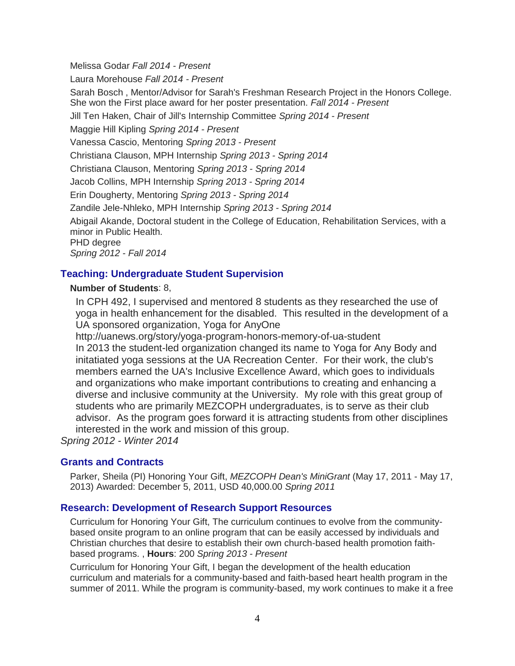Melissa Godar *Fall 2014 - Present* Laura Morehouse *Fall 2014 - Present* Sarah Bosch , Mentor/Advisor for Sarah's Freshman Research Project in the Honors College. She won the First place award for her poster presentation. *Fall 2014 - Present* Jill Ten Haken, Chair of Jill's Internship Committee *Spring 2014 - Present* Maggie Hill Kipling *Spring 2014 - Present* Vanessa Cascio, Mentoring *Spring 2013 - Present* Christiana Clauson, MPH Internship *Spring 2013 - Spring 2014* Christiana Clauson, Mentoring *Spring 2013 - Spring 2014* Jacob Collins, MPH Internship *Spring 2013 - Spring 2014* Erin Dougherty, Mentoring *Spring 2013 - Spring 2014* Zandile Jele-Nhleko, MPH Internship *Spring 2013 - Spring 2014* Abigail Akande, Doctoral student in the College of Education, Rehabilitation Services, with a minor in Public Health. PHD degree *Spring 2012 - Fall 2014*

# **Teaching: Undergraduate Student Supervision**

# **Number of Students**: 8,

In CPH 492, I supervised and mentored 8 students as they researched the use of yoga in health enhancement for the disabled. This resulted in the development of a UA sponsored organization, Yoga for AnyOne

http://uanews.org/story/yoga-program-honors-memory-of-ua-student In 2013 the student-led organization changed its name to Yoga for Any Body and initatiated yoga sessions at the UA Recreation Center. For their work, the club's members earned the UA's Inclusive Excellence Award, which goes to individuals and organizations who make important contributions to creating and enhancing a diverse and inclusive community at the University. My role with this great group of students who are primarily MEZCOPH undergraduates, is to serve as their club advisor. As the program goes forward it is attracting students from other disciplines interested in the work and mission of this group.

*Spring 2012 - Winter 2014*

# **Grants and Contracts**

Parker, Sheila (PI) Honoring Your Gift, *MEZCOPH Dean's MiniGrant* (May 17, 2011 - May 17, 2013) Awarded: December 5, 2011, USD 40,000.00 *Spring 2011*

# **Research: Development of Research Support Resources**

Curriculum for Honoring Your Gift, The curriculum continues to evolve from the communitybased onsite program to an online program that can be easily accessed by individuals and Christian churches that desire to establish their own church-based health promotion faithbased programs. , **Hours**: 200 *Spring 2013 - Present*

Curriculum for Honoring Your Gift, I began the development of the health education curriculum and materials for a community-based and faith-based heart health program in the summer of 2011. While the program is community-based, my work continues to make it a free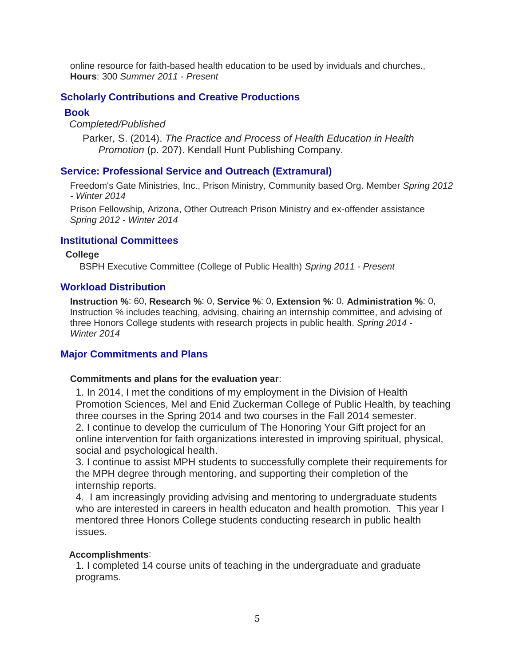online resource for faith-based health education to be used by inviduals and churches., **Hours**: 300 *Summer 2011 - Present*

# **Scholarly Contributions and Creative Productions**

# **Book**

*Completed/Published* 

Parker, S. (2014). *The Practice and Process of Health Education in Health Promotion* (p. 207). Kendall Hunt Publishing Company.

# **Service: Professional Service and Outreach (Extramural)**

Freedom's Gate Ministries, Inc., Prison Ministry, Community based Org. Member *Spring 2012 - Winter 2014*

Prison Fellowship, Arizona, Other Outreach Prison Ministry and ex-offender assistance *Spring 2012 - Winter 2014*

# **Institutional Committees**

### **College**

BSPH Executive Committee (College of Public Health) *Spring 2011 - Present*

# **Workload Distribution**

**Instruction %**: 60, **Research %**: 0, **Service %**: 0, **Extension %**: 0, **Administration %**: 0, Instruction % includes teaching, advising, chairing an internship committee, and advising of three Honors College students with research projects in public health. *Spring 2014 - Winter 2014*

# **Major Commitments and Plans**

### **Commitments and plans for the evaluation year**:

1. In 2014, I met the conditions of my employment in the Division of Health Promotion Sciences, Mel and Enid Zuckerman College of Public Health, by teaching three courses in the Spring 2014 and two courses in the Fall 2014 semester. 2. I continue to develop the curriculum of The Honoring Your Gift project for an online intervention for faith organizations interested in improving spiritual, physical, social and psychological health.

3. I continue to assist MPH students to successfully complete their requirements for the MPH degree through mentoring, and supporting their completion of the internship reports.

4. I am increasingly providing advising and mentoring to undergraduate students who are interested in careers in health educaton and health promotion. This year I mentored three Honors College students conducting research in public health issues.

# **Accomplishments**:

1. I completed 14 course units of teaching in the undergraduate and graduate programs.